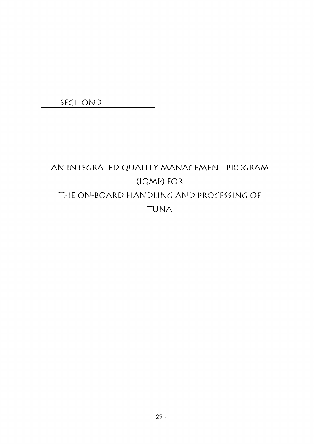**SECTION 2** 

# AN INTEGRATED QUALITY MANAGEMENT PROGRAM (IQMP) FOR THE ON-BOARD HANDLING AND PROCESSING OF **TUNA**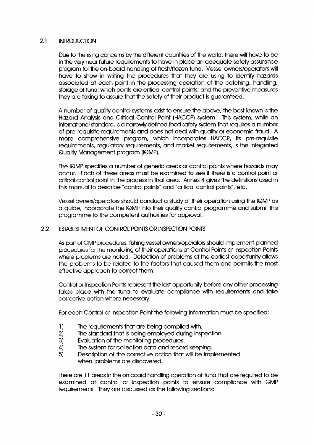#### 2.1 INTRODUCTION

Due to the rising concerns by the different countries of the world, there will have to be in the very near future requirements to have in place an adequate safety assurance program for the on-board handling of fresh/frozen tuna. Vessel owners/operators will have to show in writing the procedures that they are using to identify hazards associated at each point in the processing operation of the catching, handling, storage of tuna; which points are critical control points; and the preventive measures they are taking to assure that the safety of their product is guaranteed.

A number of quality control systems exist to ensure the above, the best known is the Hazard Analysis and Critical Control Point (HACCP) system. This system, while an international standard, is a narrowly defined food safety system that requires a num ber of pre-requisite requirements and does not deal with quality or economic fraud. A more comprehensive program, which incorporates HACCP, its pre-requisite requirements, regulatory requirements, and market requirements, is the Integrated Quality Management program (IQMP).

The IQMP specifies a number of generic areas or control points where hazards may occur. Each of these areas must be exam ined to see if there is a control point or critical control point in the process in that area. Annex 4 gives the definitions used in this manual to describe "control points" and "critical control points", etc.

Vessel owners/operators should conduct a study of their operation using the IQMP as a guide, incorporate the IQMP into their quality control programme and submit this programme to the competent authorities for approval.

#### 2.2 ESTABLISHMENT OF CONTROL POINTS OR INSPECTION POINTS

As part of GMP procedures, fishing vessel owners/operators should implement planned procedures for the monitoring of their operations at Control Points or Inspection Points where problems are noted. Detection of problems at the earliest opportunity allows the problems to be related to the factors that caused them and permits the most effective approach to correct them.

Control or Inspection Points represent the last opportunity before any other processing takes place with the tuna to evaluate compliance with requirements and take corrective action where necessary.

For each Control or Inspection Point the following information must be specified:

- 1) The requirements that are being complied with.
- 2) The standard that is being em ployed during inspection.
- 3) Evaluation of the monitoring procedures.
- 4) The system for collection data and record keeping.
- 5) Description of the corrective action that will be implemented when problems are discovered.

There are 11 areas in the on board handling operation of tuna that are required to be examined at control or inspection points to ensure compliance with GMP requirements. They are discussed as the following sections: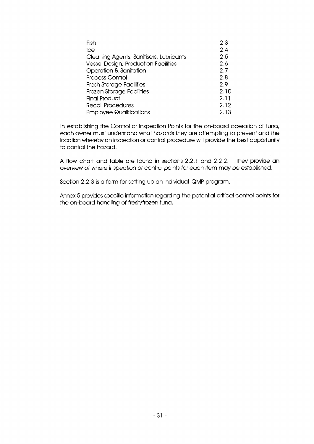| Fish                                    | 2.3  |
|-----------------------------------------|------|
| lce                                     | 2.4  |
| Cleaning Agents, Sanitisers, Lubricants | 2.5  |
| Vessel Design, Production Facilities    | 2.6  |
| Operation & Sanitation                  | 2.7  |
| <b>Process Control</b>                  | 2.8  |
| <b>Fresh Storage Facilities</b>         | 2.9  |
| <b>Frozen Storage Facilities</b>        | 2.10 |
| <b>Final Product</b>                    | 2.11 |
| Recall Procedures                       | 2.12 |
| <b>Employee Qualifications</b>          | 2.13 |

In establishing the Control or Inspection Points for the on-board operation of tuna, each owner must understand what hazards they are attempting to prevent and the location whereby an inspection or control procedure will provide the best opportunity to control the hazard.

A flow chart and table are found in sections 2.2.1 and 2.2.2. They provide an overview of where inspection or control points for each item may be established.

Section 2.2.3 is a form for setting up an individual IQMP program.

Annex 5 provides specific information regarding the potential critical control points for the on-board handling of fresh/frozen tuna.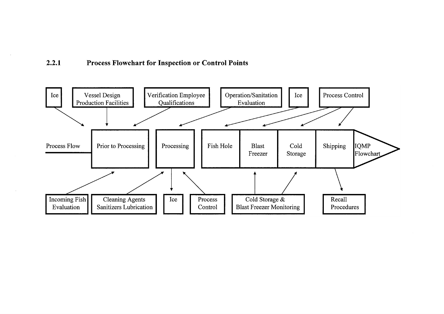#### $2.2.1$ Process Flowchart for Inspection or Control Points

 $\sim$ 

 $\mathcal{A}$ 

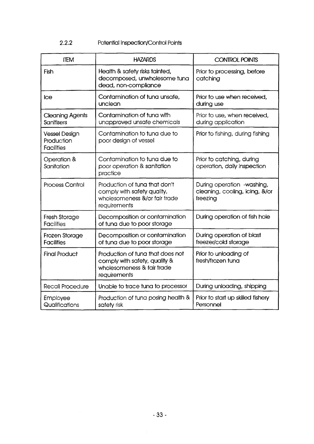### 2.2.2 Potential Inspection/Control Points

| <b>ITEM</b>                                      | <b>HAZARDS</b>                                                                                                  | <b>CONTROL POINTS</b>                                                    |
|--------------------------------------------------|-----------------------------------------------------------------------------------------------------------------|--------------------------------------------------------------------------|
| Fish                                             | Health & safety risks tainted,<br>decomposed, unwholesome tuna<br>dead, non-compliance                          | Prior to processing, before<br>catching                                  |
| <b>Ice</b>                                       | Contamination of tuna unsafe,<br>unclean                                                                        | Prior to use when received.<br>during use                                |
| <b>Cleaning Agents</b><br>Sanitisers             | Contamination of tuna with<br>unapproved unsafe chemicals                                                       | Prior to use, when received,<br>during application                       |
| Vessel Design<br>Production<br><b>Facilities</b> | Contamination to tuna due to<br>poor design of vessel                                                           | Prior to fishing, during fishing                                         |
| Operation &<br>Sanitation                        | Contamination to tuna due to<br>poor operation & sanitation<br>practice                                         | Prior to catching, during<br>operation, daily inspection                 |
| <b>Process Control</b>                           | Production of tuna that don't<br>comply with safety quality,<br>wholesomeness &/or fair trade<br>requirements   | During operation -washing,<br>cleaning, cooling, icing, &/or<br>freezing |
| Fresh Storage<br><b>Facilities</b>               | Decomposition or contamination<br>of tuna due to poor storage                                                   | During operation of fish hole                                            |
| Frozen Storage<br><b>Facilities</b>              | Decomposition or contamination<br>of tuna due to poor storage                                                   | During operation of blast<br>freezer/cold storage                        |
| <b>Final Product</b>                             | Production of tuna that does not<br>comply with safety, quality &<br>wholesomeness & fair trade<br>requirements | Prior to unloading of<br>fresh/frozen tuna                               |
| Recall Procedure                                 | Unable to trace tuna to processor                                                                               | During unloading, shipping                                               |
| Employee<br>Qualifications                       | Production of tuna posing health &<br>safety risk                                                               | Prior to start up skilled fishery<br>Personnel                           |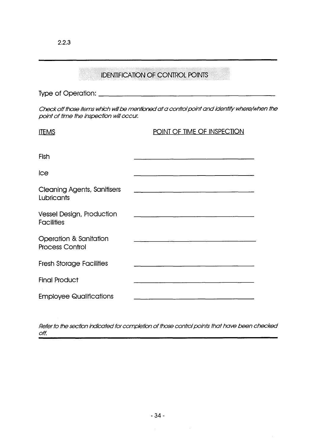|                                                       | <b>IDENTIFICATION OF CONTROL POINTS</b>                                                                                |
|-------------------------------------------------------|------------------------------------------------------------------------------------------------------------------------|
|                                                       |                                                                                                                        |
| point of time the inspection will occur.              | Check off those items which will be mentioned at a control point and identify where/when the                           |
| <b>ITEMS</b>                                          | POINT OF TIME OF INSPECTION                                                                                            |
| Fish                                                  |                                                                                                                        |
| Ice                                                   |                                                                                                                        |
| <b>Cleaning Agents, Sanitisers</b><br>Lubricants      | <u> 1980 - Johann Barn, mars ann an t-Amhair ann an t-Amhair an t-Amhair an t-Amhair an t-Amhair an t-Amhair an t-</u> |
| <b>Vessel Design, Production</b><br><b>Facilities</b> | <u> 1980 - Jan James, maria et al. (f. 1900)</u>                                                                       |
| Operation & Sanitation<br><b>Process Control</b>      | <u> 1980 - Jan Barnett, fransk politiker (d. 1980)</u>                                                                 |
| <b>Fresh Storage Facilities</b>                       |                                                                                                                        |
| <b>Final Product</b>                                  | <u> 1980 - Jan Barnett, fransk politiker (d. 1980)</u>                                                                 |
| <b>Employee Qualifications</b>                        |                                                                                                                        |

2.2.3

*Refer to the section indicated for completion of those control points that have been checked off.*

 $\label{eq:2.1} \frac{1}{\sqrt{2}}\int_{\mathbb{R}^3}\left|\frac{d\mu}{d\mu}\right|^2\left|\frac{d\mu}{d\mu}\right|^2\left|\frac{d\mu}{d\mu}\right|^2\left|\frac{d\mu}{d\mu}\right|^2\left|\frac{d\mu}{d\mu}\right|^2\left|\frac{d\mu}{d\mu}\right|^2\left|\frac{d\mu}{d\mu}\right|^2.$ 

 $\hat{\boldsymbol{\beta}}$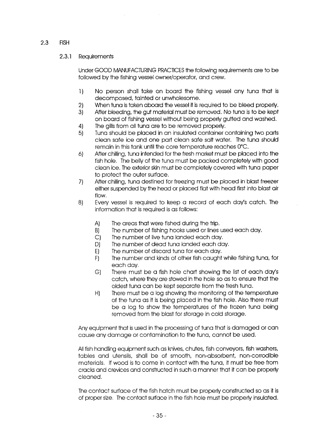#### 2.3 FISH

#### 2.3.1 Requirements

Under GOOD MANUFACTURING PRACTICES the following requirements are to be followed by the fishing vessel owner/operator, and crew.

- 1) No person shall take on board the fishing vessel any tuna that is decomposed, tainted or unwholesome.
- 2) When tuna is taken aboard the vessel it is required to be bleed properly.
- 3) After bleeding, the gut material must be removed. No tuna is to be kept on board of fishing vessel without being properly gutted and washed.
- 4) The gills from all tuna are to be removed properly.
- 5) Tuna should be placed in an insulated container containing two parts clean safe ice and one part clean safe salt water. The tuna should remain in this tank until the core temperature reaches 0°C.
- 6) After chilling, tuna intended for the fresh market must be placed into the fish hole. The belly of the tuna must be packed completely with good clean ice. The exterior skin must be completely covered with tuna paper to protect the outer surface.
- 7) After chilling, tuna destined for freezing must be placed in blast freezer either suspended by the head or placed flat with head first into blast air flow.
- 8) Every vessel is required to keep a record of each day's catch. The information that is required is as follows:
	- A) The areas that were fished during the trip.
	- B) The number of fishing hooks used or lines used each day.
	- C) The number of live tuna landed each day.
	- D) The number of dead tuna landed each day.
	- E) The number of discard tuna for each day.
	- F) The number and kinds of other fish caught while fishing tuna, for each day,
	- G) There must be a fish hole chart showing the list of each day's catch, where they are stowed in the hole so as to ensure that the oldest tuna can be kept separate from the fresh tuna.
	- H) There must be a log showing the monitoring of the temperature of the tuna as it is being placed in the fish hole. Also there must be a log to show the temperatures of the frozen tuna being removed from the blast for storage in cold storage.

Any equipment that is used in the processing of tuna that is damaged or can cause any damage or contamination to the tuna, cannot be used.

All fish handling equipment such as knives, chutes, fish conveyors, fish washers, tables and utensils, shall be of smooth, non-absorbent, non-corrodible materials. If wood is to come in contact with the tuna, it must be free from cracks and crevices and constructed in such a manner that it can be properly cleaned.

The contact surface of the fish hatch must be properly constructed so as it is of proper size, The contact surface in the fish hole must be properly insulated.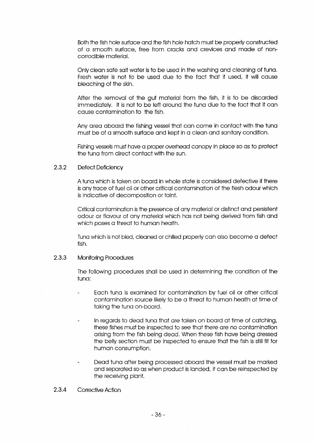Both the fish hole surface and the fish hole hatch must be properly constructed of a smooth surface, free from cracks and crevices and made of noncorrodible material.

Only clean safe salt water is to be used in the washing and cleaning of tuna. Fresh water is not to be used due to the fact that if used, it will cause bleaching of the skin,

After the removal of the gut material from the fish, it is to be discarded immediately. It is not to be left around the tuna due to the fact that it can cause contamination to the fish.

Any area aboard the fishing vessel that can come in contact with the tuna must be of a smooth surface and kept in a clean and sanitary condition.

Fishing vessels must have a proper overhead canopy in place so as to protect the tuna from direct contact with the sun.

#### 2.3.2 Defect Deficiency

A tuna which is taken on board in whole state is considered defective if there is any trace of fuel oil or other critical contam ination of the flesh odour which is indicative of decomposition or taint.

Critical contamination is the presence of any material or distinct and persistent odour or flavour of any material which has not being derived from fish and which poses a threat to human health.

Tuna which is not bled, cleaned or chilled properly can also become a defect fish.

#### 2.3.3 Monitoring Procedures

The following procedures shall be used in determining the condition of the tuna:

- Each tuna is examined for contamination by fuel oil or other critical contamination source likely to be a threat to human health at time of taking the tuna on-board.
- In regards to dead tuna that are taken on board at time of catching, these fishes must be inspected to see that there are no contamination arising from the fish being dead. When these fish have being dressed the belly section must be inspected to ensure that the fish is still fit for human consumption.
- Dead tuna after being processed aboard the vessel must be marked and separated so as when product is landed, it can be reinspected by the receiving plant.

#### 2.3.4 Corrective Action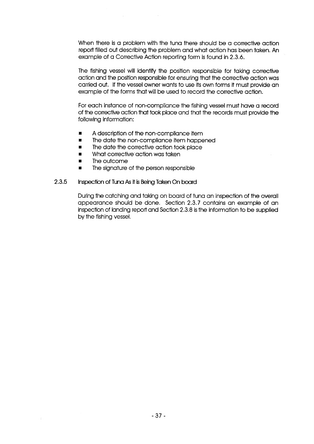When there is a problem with the tuna there should be a corrective action report filled out describing the problem and what action has been taken. An example of a Corrective Action reporting form is found in 2.3.6.

The fishing vessel will identify the position responsible for taking corrective action and the position responsible for ensuring that the corrective action was carried out. If the vessel owner wants to use its own forms it must provide an example of the forms that will be used to record the corrective action.

For each instance of non-compliance the fishing vessel must have a record of the corrective action that took place and that the records must provide the following information:

- A description of the non-compliance item
- The date the non-compliance item happened
- The date the corrective action took place
- What corrective action was taken
- The outcome
- The signature of the person responsible

#### 2.3.5 Inspection of Tuna As it is Being Taken On board

During the catching and taking on board of tuna an inspection of the overall appearance should be done. Section 2.3.7 contains an example of an inspection of landing report and Section 2.3.8 is the information to be supplied by the fishing vessel.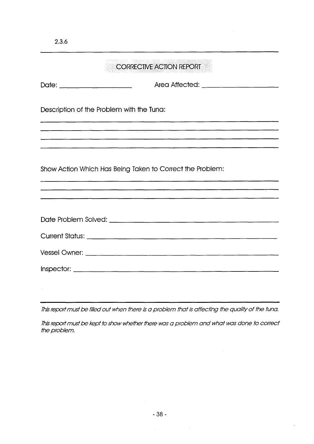|                                           | <b>CORRECTIVE ACTION REPORT</b>                           |
|-------------------------------------------|-----------------------------------------------------------|
|                                           |                                                           |
| Description of the Problem with the Tuna: |                                                           |
|                                           |                                                           |
|                                           | Show Action Which Has Being Taken to Correct the Problem: |
|                                           |                                                           |
|                                           |                                                           |
|                                           |                                                           |
|                                           |                                                           |
|                                           |                                                           |
|                                           |                                                           |

This report must be filled out when there is a problem that is affecting the quality of the tuna.

This report must be kept to show whether there was a problem and what was done to correct the problem.

 $\sim 10^7$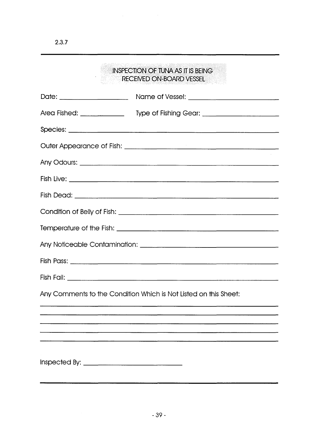| <b>INSPECTION OF TUNA AS IT IS BEING</b><br>RECEIVED ON-BOARD VESSEL             |
|----------------------------------------------------------------------------------|
|                                                                                  |
| Area Fished: ____________________ Type of Fishing Gear: ________________________ |
|                                                                                  |
|                                                                                  |
|                                                                                  |
|                                                                                  |
|                                                                                  |
|                                                                                  |
|                                                                                  |
|                                                                                  |
|                                                                                  |
|                                                                                  |
| Any Comments to the Condition Which is Not Listed on this Sheet:                 |
|                                                                                  |
|                                                                                  |
|                                                                                  |
|                                                                                  |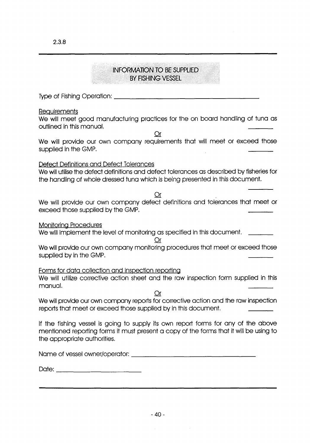### INFORMATION TO BE SUPPLIED BY FISHING VESSEL

Type o f Fishing O p e ra tio n :

#### **Requirements**

We will meet good manufacturing practices for the on board handling of tuna as outlined in this manual.

Or We will provide our own company requirements that will meet or exceed those supplied in the GMP.

### Defect Definitions and Defect Tolerances

We will utilise the defect definitions and defect tolerances as described by fisheries for the handling of whole dressed tuna which is being presented in this document.

Or

We will provide our own company defect definitions and tolerances that meet or exceed those supplied by the GMP.

Monitoring Procedures

We will implement the level of monitoring as specified in this document. \_\_\_\_\_\_\_

#### Or

We will provide our own company monitoring procedures that meet or exceed those supplied by in the GMP.

#### Forms for data collection and inspection reporting

We will utilize corrective action sheet and the raw inspection form supplied in this manual.

Or

We will provide our own company reports for corrective action and the raw inspection reports that meet or exceed those supplied by in this document.

If the fishing vessel is going to supply its own report forms for any of the above mentioned reporting forms it must present a copy of the forms that it will be using to the appropriate authorities.

N a m e o f vessel o w n e r/o p e ra to r:\_\_\_\_\_\_\_\_\_\_\_\_\_\_\_\_\_\_\_\_\_\_\_\_\_\_\_\_\_\_\_\_\_\_\_\_\_\_\_\_\_\_

D a te :\_\_\_\_\_\_\_\_\_\_\_\_\_\_\_\_\_\_\_\_\_\_\_\_\_\_\_\_\_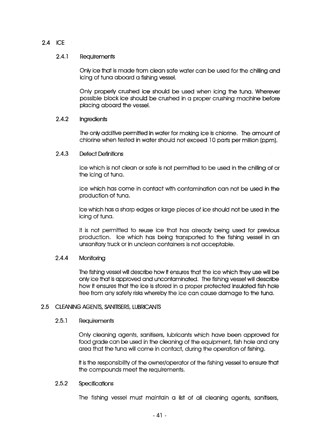#### 2.4 ICE

#### 2.4.1 Requirements

Only ice that is made from clean safe water can be used for the chilling and icing of tuna aboard a fishing vessel.

Only properly crushed ice should be used when icing the tuna. Wherever possible block ice should be crushed in a proper crushing machine before placing aboard the vessel.

#### 2.4.2 Ingredients

The only additive permitted in water for making ice is chlorine. The amount of chlorine when tested in water should not exceed 10 parts per million (ppm).

#### 2.4.3 Defect Definitions

Ice which is not clean or safe is not permitted to be used in the chilling of or the icing of tuna.

Ice which has come in contact with contamination can not be used in the production of tuna.

Ice which has a sharp edges or large pieces of ice should not be used in the icing of tuna.

It is not permitted to reuse ice that has already being used for previous production. Ice which has being transported to the fishing vessel in an unsanitary truck or in unclean containers is not acceptable.

#### 2.4.4 Monitoring

The fishing vessel will describe how it ensures that the ice which they use will be only ice that is approved and uncontaminated. The fishing vessel will describe how it ensures that the ice is stored in a proper protected insulated fish hole free from any safety risks whereby the ice can cause damage to the tuna.

#### 2.5 CLEANING AGENTS. SANITISERS, LUBRICANTS

#### 2.5.1 Requirements

Only cleaning agents, sanitisers, lubricants which have been approved for food grade can be used in the cleaning of the equipment, fish hole and any area that the tuna will come in contact, during the operation of fishing.

It is the responsibility of the owner/operator of the fishing vessel to ensure that the compounds meet the requirements.

#### 2.5.2 Specifications

The fishing vessel must maintain a list of all cleaning agents, sanitisers,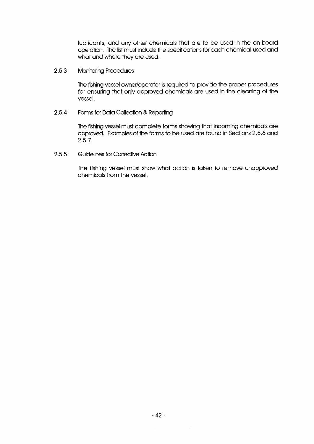lubricants, and any other chemicals that are to be used in the on-board operation. The list must include the specifications for each chem ical used and what and where they are used.

#### 2.5.3 Monitoring Procedures

The fishing vessel owner/operator is required to provide the proper procedures for ensuring that only approved chemicals are used in the cleaning of the vessel.

#### 2.5.4 Forms for Data Collection & Reporting

The fishing vessel must complete forms showing that incoming chemicals are approved. Examples of the forms to be used are found in Sections 2.5.6 and 2.5.7.

#### 2.5.5 Guidelines for Corrective Action

The fishing vessel must show what action is taken to remove unapproved chemicals from the vessel.

 $\bar{\mathcal{A}}$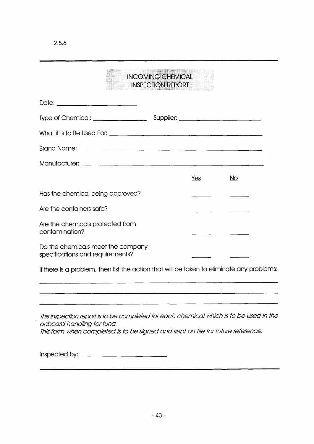## IN COMING CHEMICAL INSPECTION REPORT

|                                                                       | Yes | No |
|-----------------------------------------------------------------------|-----|----|
| Has the chemical being approved?                                      |     |    |
| Are the containers safe?                                              |     |    |
| Are the chemicals protected from<br>contamination?                    |     |    |
| Do the chemicals meet the company<br>specifications and requirements? |     |    |

If there is a problem, then list the action that will be taken to eliminate any problems:

*This inspection report is to be completed for each chemical which is to be used in the o n b o a rd h a n d lin g fo r tuna.* This form when completed is to be signed and kept on file for future reference.

Inspected by: <u>contained and the set of the set of the set of the set of the set of the set of the set of the set of the set of the set of the set of the set of the set of the set of the set of the set of the set of the se</u>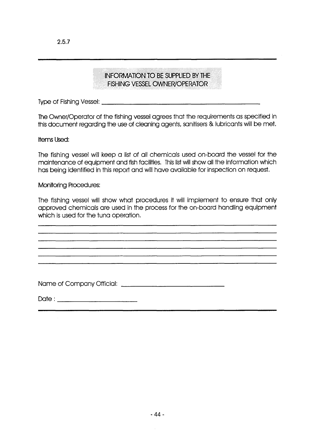### INFORMATION TO BE SUPPLIED BY THE FISHING VESSEL OWNER/OPERATOR

Type o f Fishing V essel:\_\_\_\_\_\_\_\_\_\_\_\_\_\_\_\_\_\_\_\_\_\_\_\_\_\_\_\_\_\_\_\_\_\_\_\_\_\_\_\_\_\_\_\_\_\_\_\_\_\_\_\_\_\_

The Owner/Operator of the fishing vessel agrees that the requirements as specified in this document regarding the use of cleaning agents, sanitisers & lubricants will be met.

Items Used:

The fishing vessel will keep a list of all chemicals used on-board the vessel for the maintenance of equipment and fish facilities. This list will show all the information which has being identified in this report and will have available for inspection on request.

**Monitoring Procedures:** 

The fishing vessel will show what procedures it will implement to ensure that only approved chemicals are used in the process for the on-board handling equipment which is used for the tuna operation.

N a m e o f C o m p a n y O fficial:

D a te :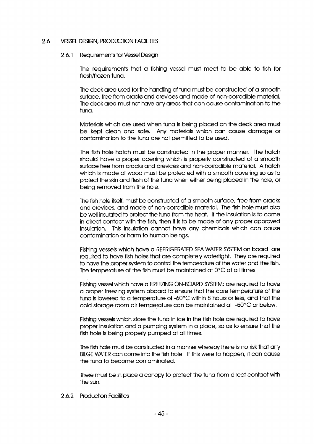#### 2.6 VESSEL DESIGN, PRODUCTION FACILITIES

#### 2.6.1 Requirements for Vessel Design

The requirements that a fishing vessel must meet to be able to fish for fresh/frozen tuna.

The deck area used for the handling of tuna must be constructed of a smooth surface, free from cracks and crevices and made of non-corrodible material. The deck area must not have any areas that can cause contam ination to the tuna.

Materials which are used when tuna is being placed on the deck area must be kept clean and safe. Any materials which can cause damage or contamination to the tuna are not permitted to be used.

The fish hole hatch must be constructed in the proper manner. The hatch should have a proper opening which is properly constructed of a smooth surface free from cracks and crevices and non-corrodible material. A hatch which is made of wood must be protected with a smooth covering so as to protect the skin and flesh of the tuna when either being placed in the hole, or being removed from the hole.

The fish hole itself, must be constructed of a smooth surface, free from cracks and crevices, and made of non-corrodible material. The fish hole must also be well insulated to protect the tuna from the heat. If the insulation is to come in direct contact with the fish, then it is to be made of only proper approved insulation. This insulation cannot have any chemicals which can cause contamination or harm to human beings.

Fishing vessels which have a REFRIGERATED SEA WATER SYSTEM on board: are required to have fish holes that are completely watertight. They are required to have the proper system to control the temperature of the water and the fish. The temperature of the fish must be maintained at  $0^{\circ}$ C at all times.

Fishing vessel which have a FREEZING ON-BOARD SYSTEM: are required to have a proper freezing system aboard to ensure that the core temperature of the tuna is lowered to a temperature of -60°C within 8 hours or less, and that the cold storage room air temperature can be maintained at -50°C or below.

Fishing vessels which store the tuna in ice in the fish hole are required to have proper insulation and a pumping system in a place, so as to ensure that the fish hole is being properly pumped at all times.

The fish hole must be constructed in a manner whereby there is no risk that any BILGE WATER can come into the fish hole. If this were to happen, it can cause the tuna to become contaminated.

There must be in place a canopy to protect the tuna from direct contact with the sun.

#### 2.6.2 Production Facilities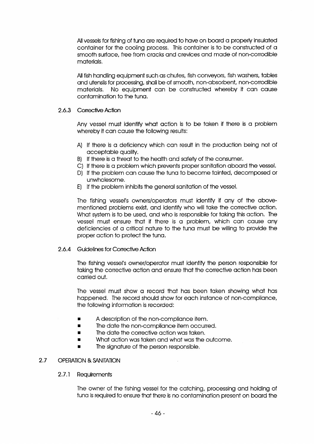All vessels for fishing of tuna are required to have on board a properly insulated container for the cooling process. This container is to be constructed of a smooth surface, free from cracks and crevices and made of non-corrodible materials.

All fish handling equipment such as chutes, fish conveyors, fish washers, tables and utensils for processing, shall be of smooth, non-absorbent, non-corrodible materials. No equipment can be constructed whereby it can cause contamination to the tuna.

#### 2.6.3 Corrective Action

Any vessel must identify what action is to be taken if there is a problem whereby it can cause the following results:

- A) If there is a deficiency which can result in the production being not of acceptable quality.
- B) If there is a threat to the health and safety of the consumer.
- C) If there is a problem which prevents proper sanitation aboard the vessel.
- D) If the problem can cause the tuna to become tainted, decomposed or unwholesome.
- E) If the problem inhibits the general sanitation of the vessel.

The fishing vessel's owners/operators must identify if any of the abovementioned problems exist, and identify who will take the corrective action. What system is to be used, and who is responsible for taking this action. The vessel must ensure that if there is a problem, which can cause any deficiencies of a critical nature to the tuna must be willing to provide the proper action to protect the tuna.

#### 2.6.4 Guidelines for Corrective Action

The fishing vessel's owner/operator must identify the person responsible for taking the corrective action and ensure that the corrective action has been carried out.

The vessel must show a record that has been taken showing what has happened. The record should show for each instance of non-compliance, the following information is recorded:

- A description of the non-compliance item.
- The date the non-compliance item occurred.
- The date the corrective action was taken.
- What action was taken and what was the outcom e.
- The signature of the person responsible.

#### 2.7 OPERATION & SANITATION

#### 2.7.1 Requirements

The owner of the fishing vessel for the catching, processing and holding of tuna is required to ensure that there is no contamination present on board the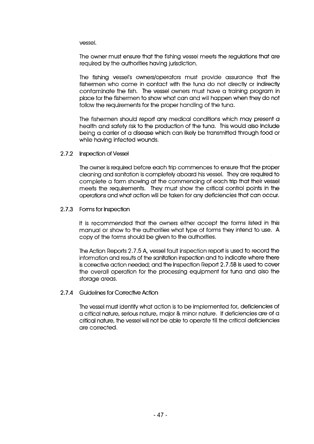vessel.

The owner must ensure that the fishing vessel meets the regulations that are required by the authorities having jurisdiction.

The fishing vessel's owners/operators must provide assurance that the fishermen who come in contact with the tuna do not directly or indirectly contaminate the fish. The vessel owners must have a training program in place for the fishermen to show what can and will happen when they do not follow the requirements for the proper handling of the tuna.

The fishermen should report any medical conditions which may present a health and safety risk to the production of the tuna. This would also include being a carrier of a disease which can likely be transmitted through food or while having infected wounds.

#### 2.7.2 Inspection of Vessel

The owner is required before each trip commences to ensure that the proper cleaning and sanitation is com pletely aboard his vessel. They are required to complete a form showing at the commencing of each trip that their vessel meets the requirements. They must show the critical control points in the operations and what action will be taken for any deficiencies that can occur.

#### 2.7.3 Forms for Inspection

It is recommended that the owners either accept the forms listed in this manual or show to the authorities what type of forms they intend to use. A copy of the forms should be given to the authorities.

The Action Reports 2.7.5 A, vessel fault inspection report is used to record the information and results of the sanitation inspection and to indicate where there is corrective action needed; and the Inspection Report 2.7.5B is used to cover the overall operation for the processing equipment for tuna and also the storage areas.

#### 2.7.4 Guidelines for Corrective Action

The vessel must identify what action is to be implemented for, deficiencies of a critical nature, serious nature, m ajor & minor nature. If deficiencies are of a critical nature, the vessel will not be able to operate till the critical deficiencies are corrected.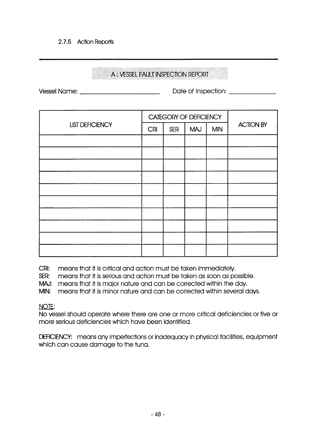#### 2.7.5 Action Reports

### A : VESSEL FAULT INSPECTION REPORT

Vessel N am e: D ate o f Inspection:

|                        |            |            | CATEGORY OF DEFICIENCY |            |                  |
|------------------------|------------|------------|------------------------|------------|------------------|
| <b>LIST DEFICIENCY</b> | <b>CRI</b> | <b>SER</b> | <b>MAJ</b>             | <b>MIN</b> | <b>ACTION BY</b> |
|                        |            |            |                        |            |                  |
|                        |            |            |                        |            |                  |
|                        |            |            |                        |            |                  |
|                        |            |            |                        |            |                  |
|                        |            |            |                        |            |                  |
|                        |            |            |                        |            |                  |
|                        |            |            |                        |            |                  |
|                        |            |            |                        |            |                  |
|                        |            |            |                        |            |                  |
|                        |            |            |                        |            |                  |

CRI: means that it is critical and action must be taken immediately.

SER: means that it is serious and action must be taken as soon as possible.

MAJ: means that it is major nature and can be corrected within the day.

MIN: means that it is minor nature and can be corrected within several days.

NOTE:

No vessel should operate where there are one or more critical deficiencies or five or more serious deficiencies which have been identified.

DEFICIENCY: means any imperfections or inadequacy in physical facilities, equipment which can cause damage to the tuna.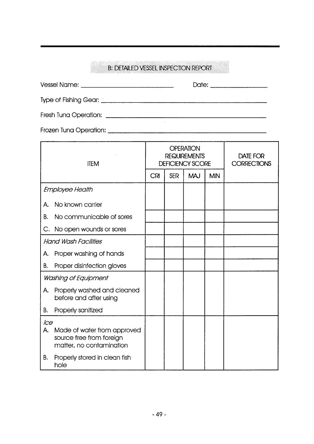### B: DETAILED VESSEL INSPECTION REPORT

| <b>OPERATION</b><br><b>DEOI IDEMENTS</b> | DATE EOD |
|------------------------------------------|----------|

| <b>ITEM</b>      |                                                                                     | <b>REQUIREMENTS</b><br><b>DEFICIENCY SCORE</b> |            |            |            | DATE FOR<br><b>CORRECTIONS</b> |
|------------------|-------------------------------------------------------------------------------------|------------------------------------------------|------------|------------|------------|--------------------------------|
|                  |                                                                                     | <b>CRI</b>                                     | <b>SER</b> | <b>MAJ</b> | <b>MIN</b> |                                |
|                  | Employee Health                                                                     |                                                |            |            |            |                                |
| A.               | No known carrier                                                                    |                                                |            |            |            |                                |
| В.               | No communicable of sores                                                            |                                                |            |            |            |                                |
| C.               | No open wounds or sores                                                             |                                                |            |            |            |                                |
|                  | <b>Hand Wash Facilities</b>                                                         |                                                |            |            |            |                                |
| A.               | Proper washing of hands                                                             |                                                |            |            |            |                                |
| В.               | Proper disinfection gloves                                                          |                                                |            |            |            |                                |
|                  | Washing of Equipment                                                                |                                                |            |            |            |                                |
| A.               | Properly washed and cleaned<br>before and after using                               |                                                |            |            |            |                                |
| В.               | Properly sanitized                                                                  |                                                |            |            |            |                                |
| <b>Ice</b><br>A. | Made of water from approved<br>source free from foreign<br>matter, no contamination |                                                |            |            |            |                                |
| В.               | Properly stored in clean fish<br>hole                                               |                                                |            |            |            |                                |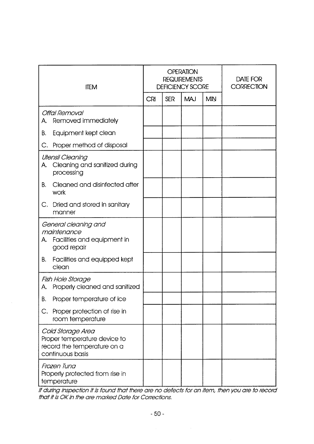| <b>ITEM</b>                                                                                          |            |            | <b>OPERATION</b><br><b>REQUIREMENTS</b><br><b>DEFICIENCY SCORE</b> | DATE FOR<br><b>CORRECTION</b> |  |
|------------------------------------------------------------------------------------------------------|------------|------------|--------------------------------------------------------------------|-------------------------------|--|
|                                                                                                      | <b>CRI</b> | <b>SER</b> | <b>MAJ</b>                                                         | <b>MIN</b>                    |  |
| Offal Removal<br>Removed immediately<br>A.                                                           |            |            |                                                                    |                               |  |
| Equipment kept clean<br>В.                                                                           |            |            |                                                                    |                               |  |
| Proper method of disposal<br>C.                                                                      |            |            |                                                                    |                               |  |
| <b>Utensil Cleaning</b><br>Cleaning and sanitized during<br>A.<br>processing                         |            |            |                                                                    |                               |  |
| Cleaned and disinfected after<br>В.<br>work                                                          |            |            |                                                                    |                               |  |
| C.<br>Dried and stored in sanitary<br>manner                                                         |            |            |                                                                    |                               |  |
| General cleaning and<br>maintenance<br>Facilities and equipment in<br>A.<br>good repair              |            |            |                                                                    |                               |  |
| Facilities and equipped kept<br>В.<br>clean                                                          |            |            |                                                                    |                               |  |
| Fish Hole Storage<br>Properly cleaned and sanitized<br>A.                                            |            |            |                                                                    |                               |  |
| Proper temperature of ice<br>Β.                                                                      |            |            |                                                                    |                               |  |
| C. Proper protection of rise in<br>room temperature                                                  |            |            |                                                                    |                               |  |
| Cold Storage Area<br>Proper temperature device to<br>record the temperature on a<br>continuous basis |            |            |                                                                    |                               |  |
| Frozen Tuna<br>Properly protected from rise in<br>temperature                                        |            |            |                                                                    |                               |  |

*If during inspection it is found that there are no defects for an item, then you are to record th a t it is OK in the are m arked Date for Corrections.*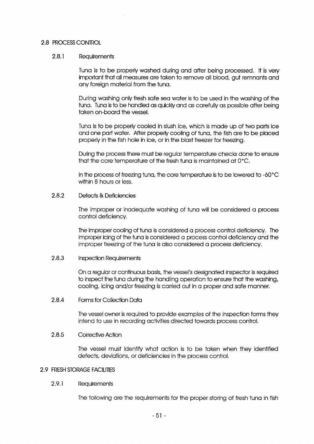#### 2.8 PROCESS CONTROL

#### 2.8.1 Requirements

Tuna is to be properly washed during and after being processed. It is very important that all measures are taken to remove all blood, gut remnants and any foreign material from the tuna.

During washing only fresh safe sea water is to be used in the washing of the tuna. Tuna is to be handled as quickly and as carefully as possible after being taken on-board the vessel.

Tuna is to be properly cooled in slush ice, which is made up of two parts ice and one part water. After properly cooling of tuna, the fish are to be placed properly in the fish hole in ice, or in the blast freezer for freezing.

During the process there must be regular tem perature checks done to ensure that the core temperature of the fresh tuna is maintained at  $0^{\circ}$ C.

In the process of freezing tuna, the core temperature is to be lowered to -60°C within 8 hours or less.

#### 2.8.2 Defects & Deficiencies

The im proper or inadequate washing of tuna will be considered a process control deficiency.

The improper cooling of tuna is considered a process control deficiency. The improper icing of the tuna is considered a process control deficiency and the im proper freezing of the tuna is also considered a process deficiency.

#### 2.8.3 Inspection Requirements

On a regular or continuous basis, the vessel's designated inspector is required to inspect the tuna during the handling operation to ensure that the washing, cooling, icing and/or freezing is carried out in a proper and safe manner.

#### 2.8.4 Forms for Collection Data

The vessel owner is required to provide examples of the inspection forms they intend to use in recording activities directed towards process control.

#### 2.8.5 Corrective Action

The vessel must identify what action is to be taken when they identified defects, deviations, or deficiencies in the process control.

#### 2.9 FRESH STORAGE FACILITIES

#### 2.9.1 Requirements

The following are the requirements for the proper storing of fresh tuna in fish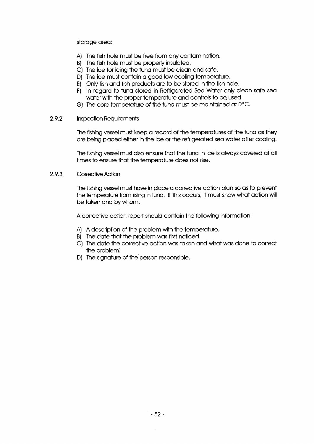storage area:

- A) The fish hole must be free from any contamination.
- B) The fish hole must be properly insulated.
- C) The ice for icing the tuna must be clean and safe.
- D) The ice must contain a good low cooling temperature.
- E) Only fish and fish products are to be stored in the fish hole.
- F) In regard to tuna stored in Refrigerated Sea Water only clean safe sea water with the proper temperature and controls to be used.
- G) The core temperature of the tuna must be maintained at  $0^{\circ}$ C.

#### 2.9.2 Inspection Requirements

The fishing vessel must keep a record of the temperatures of the tuna as they are being placed either in the ice or the refrigerated sea water after cooling.

The fishing vessel must also ensure that the tuna in ice is always covered at all times to ensure that the temperature does not rise.

#### 2.9.3 Corrective Action

The fishing vessel must have in place a corrective action plan so as to prevent the temperature from rising in tuna. If this occurs, it must show what action will be taken and by whom.

A corrective action report should contain the following information:

- A) A description of the problem with the temperature.
- B) The date that the problem was first noticed.
- C) The date the corrective action was taken and what was done to correct the problem.
- D) The signature of the person responsible.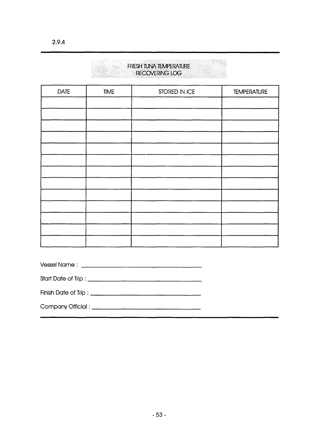| <b>IKECOVERING LOG</b> |             |               |                    |  |  |
|------------------------|-------------|---------------|--------------------|--|--|
| <b>DATE</b>            | <b>TIME</b> | STORED IN ICE | <b>TEMPERATURE</b> |  |  |
|                        |             |               |                    |  |  |
|                        |             |               |                    |  |  |
|                        |             |               |                    |  |  |
|                        |             |               |                    |  |  |
|                        |             |               |                    |  |  |
|                        |             |               |                    |  |  |
|                        |             |               |                    |  |  |
|                        |             |               |                    |  |  |
|                        |             |               |                    |  |  |
|                        |             |               |                    |  |  |
|                        |             |               |                    |  |  |
|                        |             |               |                    |  |  |
|                        |             |               |                    |  |  |

**FRESH TUNA TEMPERATURE** RECOVERING LOG

| Vessel Name: | . | ______ | <b>COLOR</b> |  |
|--------------|---|--------|--------------|--|
|--------------|---|--------|--------------|--|

Start Date of Trip :

Finish Date of Trip :

C om pany O ffic ia l :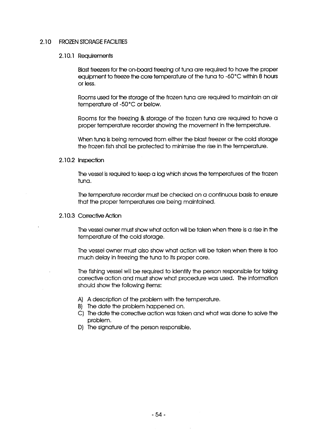#### 2.10 FROZEN STORAGE FACILITIES

#### 2.10.1 Requirements

Blast freezers for the on-board freezing of tuna are required to have the proper equipment to freeze the core temperature of the tuna to -60°C within 8 hours or less.

Rooms used for the storage of the frozen tuna are required to maintain an air temperature of -50°C or below.

Rooms for the freezing & storage of the frozen tuna are required to have a proper temperature recorder showing the movement in the temperature.

When tuna is being removed from either the blast freezer or the cold storage the frozen fish shall be protected to minimise the rise in the temperature.

#### 2.10.2 Inspection

The vessel is required to keep a log which shows the temperatures of the frozen tuna.

The temperature recorder must be checked on a continuous basis to ensure that the proper temperatures are being maintained.

2.10.3 Corrective Action

The vessel owner must show what action will be taken when there is a rise in the temperature of the cold storage.

The vessel owner must also show what action will be taken when there is too much delay in freezing the tuna to its proper core.

The fishing vessel will be required to identify the person responsible for taking corrective action and must show what procedure was used. The information should show the following items:

- A) A description of the problem with the temperature.
- B) The date the problem happened on.
- C) The date the corrective action was taken and what was done to solve the problem.
- D) The signature of the person responsible.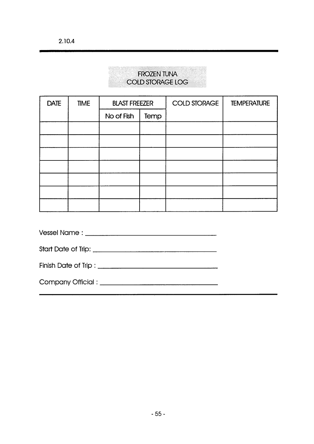### FROZEN TUNA COLD STORAGE LOG

| <b>DATE</b> | <b>TIME</b> | <b>BLAST FREEZER</b> |      | <b>COLD STORAGE</b> | <b>TEMPERATURE</b> |
|-------------|-------------|----------------------|------|---------------------|--------------------|
|             |             | No of Fish           | Temp |                     |                    |
|             |             |                      |      |                     |                    |
|             |             |                      |      |                     |                    |
|             |             |                      |      |                     |                    |
|             |             |                      |      |                     |                    |
|             |             |                      |      |                     |                    |
|             |             |                      |      |                     |                    |
|             |             |                      |      |                     |                    |

V essel N a m e :

S tart D a te o f Trip:

Finish D a te o f Trip :

C o m p a n y O ffic ia l: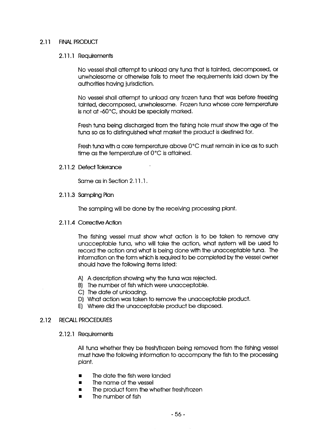#### 2.11 FINAL PRODUCT

#### 2.11.1 Requirements

No vessel shall attempt to unload any tuna that is tainted, decomposed, or unwholesome or otherwise fails to meet the requirements laid down by the authorities having jurisdiction.

No vessel shall attempt to unload any frozen tuna that was before freezing tainted, decomposed, unwholesome. Frozen tuna whose core temperature is not at -60°C, should be specially marked.

Fresh tuna being discharged from the fishing hole must show the age of the tuna so as to distinguished what market the product is destined for.

Fresh tuna with a core temperature above 0°C must remain in ice as to such time as the temperature of  $0^{\circ}$ C is attained.

#### 2.11.2 Defect Tolerance

Same as in Section 2.11.1.

2.11.3 Sampling Plan

The sampling will be done by the receiving processing plant.

2.11.4 Corrective Action

The fishing vessel must show what action is to be taken to remove any unacceptable tuna, who will take the action, what system will be used to record the action and what is being done with the unacceptable tuna. The information on the form which is required to be completed by the vessel owner should have the following items listed:

- A) A description showing why the tuna was rejected.
- B) The number of fish which were unacceptable.
- C) The date of unloading.
- D) What action was taken to remove the unacceptable product.
- E) Where did the unacceptable product be disposed.

#### 2.12 RECALL PROCEDURES

#### 2.12.1 Requirements

All tuna whether they be fresh/frozen being removed from the fishing vessel must have the following information to accompany the fish to the processing plant.

- The date the fish were landed
- The name of the vessel
- The product form the whether fresh/frozen
- The number of fish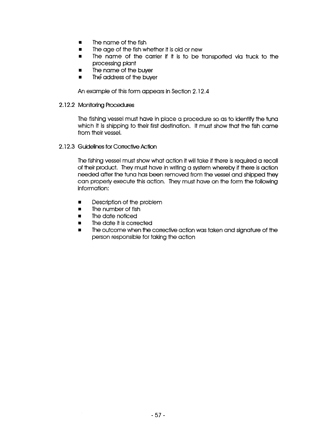- The name of the fish
- The age of the fish whether it is old or new
- The name of the carrier if it is to be transported via truck to the processing plant
- **■** The name of the buyer
- The address of the buyer

An example of this form appears in Section 2.12.4

#### 2.12.2 Monitoring Procedures

The fishing vessel must have in place a procedure so as to identify the tuna which it is shipping to their first destination. It must show that the fish came from their vessel.

2.12.3 Guidelines for Corrective Action

The fishing vessel must show what action it will take if there is required a recall of their product. They must have in writing a system whereby if there is action needed after the tuna has been removed from the vessel and shipped they can properly execute this action. They must have on the form the following information:

- Description of the problem
- The number of fish
- **■** The date noticed
- The date it is corrected
- The outcome when the corrective action was taken and signature of the person responsible for taking the action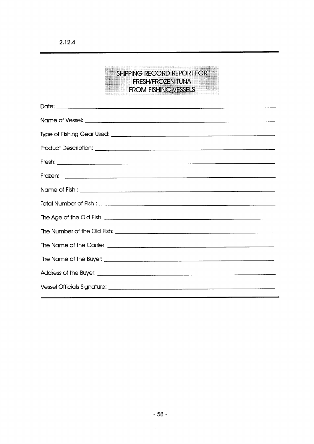### SHIPPING RECORD REPORT FOR FRESH/FROZEN TUNA FROM FISHING VESSELS

 $\sim 10^{-1}$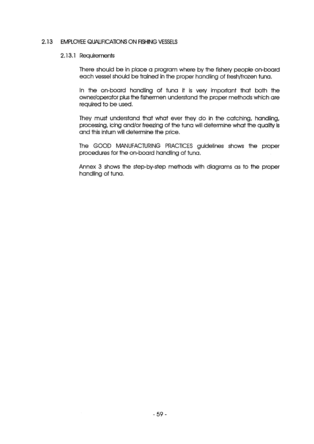#### 2.13 EMPLOYEE QUALIFICATIONS ON FISHING VESSELS

#### 2.13.1 Requirements

There should be in place a program where by the fishery people on-board each vessel should be trained in the proper handling of fresh/frozen tuna.

In the on-board handling of tuna it is very im portant that both the owner/operator plus the fishermen understand the proper methods which are required to be used.

They must understand that what ever they do in the catching, handling, processing, icing and/or freezing of the tuna will determine what the quality is and this inturn will determine the price.

The GOOD MANUFACTURING PRACTICES guidelines shows the proper procedures for the on-board handling of tuna.

Annex 3 shows the step-by-step methods with diagrams as to the proper handling of tuna.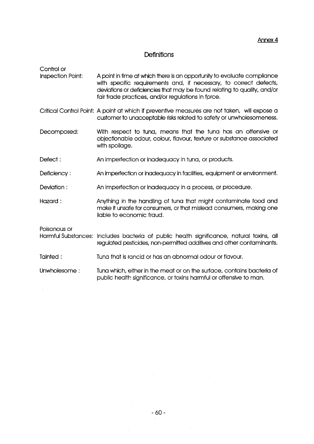#### Definitions

Control or

- Inspection Point: A point in time at which there is an opportunity to evaluate compliance with specific requirements and, if necessary, to correct defects, deviations or deficiencies that may be found relating to quality, and/or fair trade practices, and/or regulations in force.
- Critical Control Point: A point at which if preventive measures are not taken, will expose a customer to unacceptable risks related to safety or unwholesomeness.
- Decomposed: With respect to tuna, means that the tuna has an offensive or objectionable odour, colour, flavour, texture or substance associated with spoilage.
- Defect: An imperfection or inadequacy in tuna, or products.
- Deficiency: An imperfection or inadequacy in facilities, equipment or environment.
- Deviation: An imperfection or inadequacy in a process, or procedure.
- Hazard : Anything in the handling of tuna that might contaminate food and make it unsafe for consumers, or that mislead consumers, making one liable to economic fraud.

Poisonous or

Harmful Substances: Includes bacteria of public health significance, natural toxins, all regulated pesticides, non-permitted additives and other contaminants.

- Tainted : Tuna that is rancid or has an abnormal odour or flavour.
- Unwholesome: Tuna which, either in the meat or on the surface, contains bacteria of public health significance, or toxins harmful or offensive to man.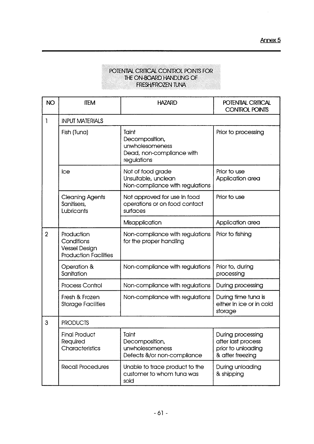### POTENTIAL CRITICAL CONTROL POINTS FOR THE ON-BOARD HANDLING OF FRESH/FROZEN TUNA

| <b>NO</b>      | <b>ITEM</b>                                                                      | <b>HAZARD</b>                                                                          | POTENTIAL CRITICAL<br><b>CONTROL POINTS</b>                                       |  |  |
|----------------|----------------------------------------------------------------------------------|----------------------------------------------------------------------------------------|-----------------------------------------------------------------------------------|--|--|
| 1              | <b>INPUT MATERIALS</b>                                                           |                                                                                        |                                                                                   |  |  |
|                | Fish (Tuna)                                                                      | Taint<br>Decomposition,<br>unwholesomeness<br>Dead, non-compliance with<br>regulations | Prior to processing                                                               |  |  |
|                | Ice                                                                              | Not of food grade<br>Unsuitable, unclean<br>Non-compliance with regulations            | Prior to use<br>Application area                                                  |  |  |
|                | <b>Cleaning Agents</b><br>Sanitisers,<br>Lubricants                              | Not approved for use In food<br>operations or on food contact<br>surfaces              | Prior to use                                                                      |  |  |
|                |                                                                                  | Misapplication                                                                         | Application area                                                                  |  |  |
| $\overline{2}$ | Production<br>Conditions<br><b>Vessel Design</b><br><b>Production Facilities</b> | Non-compliance with regulations<br>for the proper handling                             | Prior to fishing                                                                  |  |  |
|                | Operation &<br>Sanitation                                                        | Non-compliance with regulations                                                        | Prior to, during<br>processing                                                    |  |  |
|                | Process Control                                                                  | Non-compliance with regulations                                                        | During processing                                                                 |  |  |
|                | Fresh & Frozen<br><b>Storage Facilities</b>                                      | Non-compliance with regulations                                                        | During time tuna is<br>either In ice or in cold<br>storage                        |  |  |
| 3              | <b>PRODUCTS</b>                                                                  |                                                                                        |                                                                                   |  |  |
|                | <b>Final Product</b><br>Required<br>Characteristics                              | Taint<br>Decomposition,<br>unwholesomeness<br>Defects &/or non-compliance              | During processing<br>after last process<br>prior to unloading<br>& after freezing |  |  |
|                | Recall Procedures                                                                | Unable to trace product to the<br>customer to whom tuna was<br>sold                    | During unloading<br>& shipping                                                    |  |  |